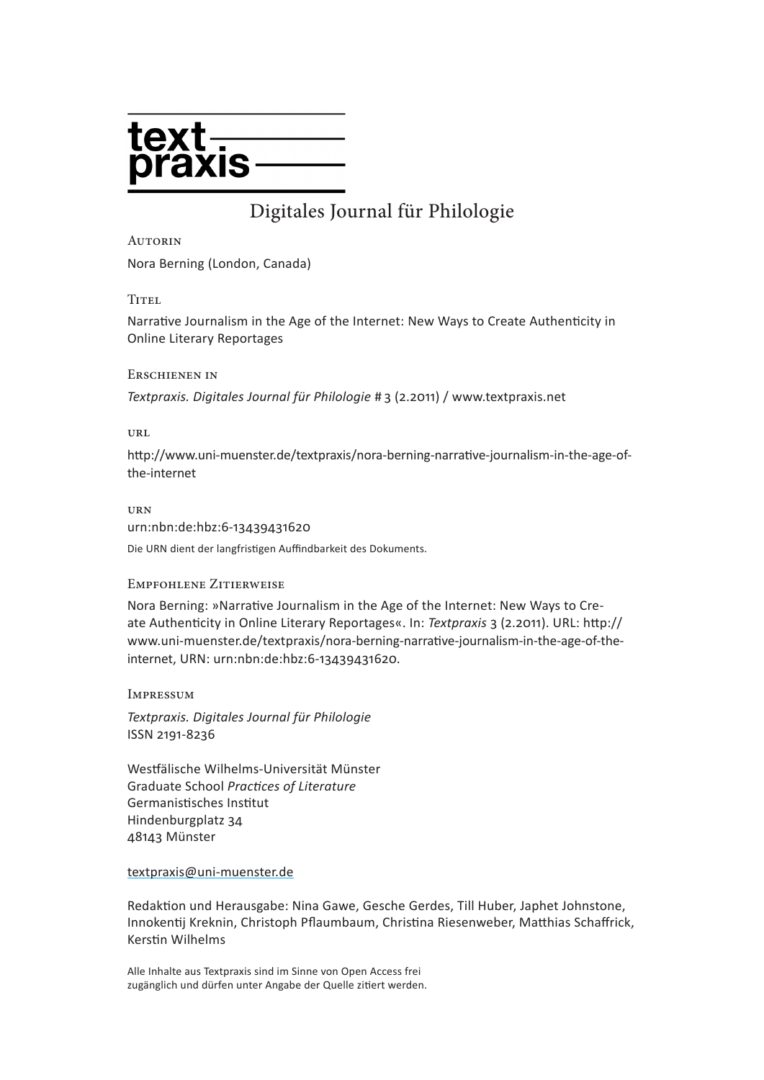

## Digitales Journal für Philologie

#### **AUTORIN**

Nora Berning (London, Canada)

TITEL<sub></sub>

Narrative Journalism in the Age of the Internet: New Ways to Create Authenticity in Online Literary Reportages

#### Erschienen in

*Textpraxis. Digitales Journal für Philologie* # 3 (2.2011) / [www.textpraxis.net](http://www.textpraxis.net)

url

[http://www.uni-muenster.de/textpraxis/](http://www.uni-muenster.de/textpraxis/nora-berning-narrative-journalism-in-the-age-of-the-internet)nora-berning-narrative-journalism-in-the-age-ofthe-internet

urn

urn:nbn:de:hbz:6-13439431620 Die URN dient der langfristigen Auffindbarkeit des Dokuments.

#### Empfohlene Zitierweise

Nora Berning: »Narrative Journalism in the Age of the Internet: New Ways to Create Authenticity in Online Literary Reportages«. In: *Textpraxis* 3 (2.2011). URL: [http://](http://www.uni-muenster.de/textpraxis/nora-berning-narrative-journalism-in-the-age-of-the-internet) [www.uni-muenster.de/textpraxis/n](http://www.uni-muenster.de/textpraxis/nora-berning-narrative-journalism-in-the-age-of-the-internet)ora-berning-narrative-journalism-in-the-age-of-theinternet, URN: urn:nbn:de:hbz:6-13439431620.

Impressum

*Textpraxis. Digitales Journal für Philologie* ISSN 2191-8236

Westfälische Wilhelms-Universität Münster Graduate School *Practices of Literature* Germanistisches Institut Hindenburgplatz 34 48143 Münster

textpraxis@uni-muenster.de

Redaktion und Herausgabe: Nina Gawe, Gesche Gerdes, Till Huber, Japhet Johnstone, Innokentij Kreknin, Christoph Pflaumbaum, Christina Riesenweber, Matthias Schaffrick, Kerstin Wilhelms

Alle Inhalte aus Textpraxis sind im Sinne von Open Access frei zugänglich und dürfen unter Angabe der Quelle zitiert werden.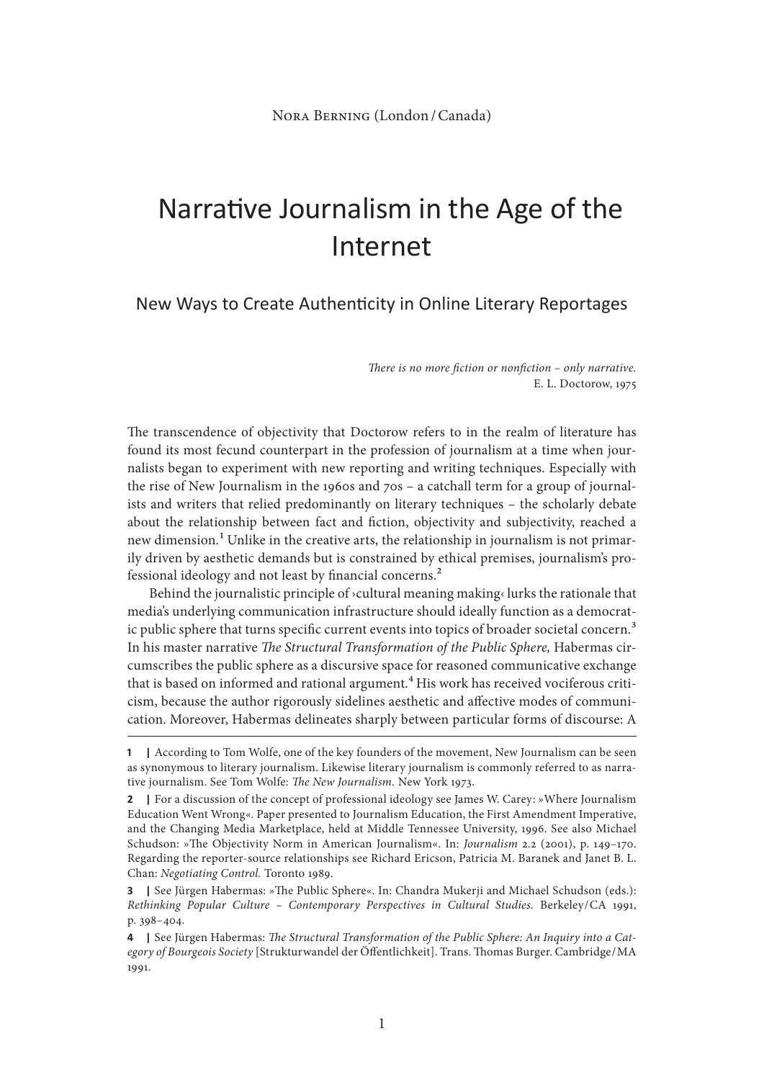# Narrative Journalism in the Age of the Internet

New Ways to Create Authenticity in Online Literary Reportages

*There is no more fiction or nonfiction – only narrative.*  E. L. Doctorow, 1975

The transcendence of objectivity that Doctorow refers to in the realm of literature has found its most fecund counterpart in the profession of journalism at a time when journalists began to experiment with new reporting and writing techniques. Especially with the rise of New Journalism in the 1960s and 70s – a catchall term for a group of journalists and writers that relied predominantly on literary techniques – the scholarly debate about the relationship between fact and fiction, objectivity and subjectivity, reached a new dimension.<sup>1</sup> Unlike in the creative arts, the relationship in journalism is not primarily driven by aesthetic demands but is constrained by ethical premises, journalism's professional ideology and not least by financial concerns.2

Behind the journalistic principle of ›cultural meaning making‹ lurks the rationale that media's underlying communication infrastructure should ideally function as a democratic public sphere that turns specific current events into topics of broader societal concern.<sup>3</sup> In his master narrative *The Structural Transformation of the Public Sphere,* Habermas circumscribes the public sphere as a discursive space for reasoned communicative exchange that is based on informed and rational argument.<sup>4</sup> His work has received vociferous criticism, because the author rigorously sidelines aesthetic and affective modes of communication. Moreover, Habermas delineates sharply between particular forms of discourse: A

**<sup>1</sup> |** According to Tom Wolfe, one of the key founders of the movement, New Journalism can be seen as synonymous to literary journalism. Likewise literary journalism is commonly referred to as narrative journalism. See Tom Wolfe: *The New Journalism.* New York 1973.

**<sup>2</sup> |** For a discussion of the concept of professional ideology see James W. Carey: »Where Journalism Education Went Wrong«. Paper presented to Journalism Education, the First Amendment Imperative, and the Changing Media Marketplace, held at Middle Tennessee University, 1996. See also Michael Schudson: »The Objectivity Norm in American Journalism«. In: *Journalism* 2.2 (2001), p. 149–170. Regarding the reporter-source relationships see Richard Ericson, Patricia M. Baranek and Janet B. L. Chan: *Negotiating Control.* Toronto 1989.

**<sup>3</sup> |** See Jürgen Habermas: »The Public Sphere«. In: Chandra Mukerji and Michael Schudson (eds.): *Rethinking Popular Culture – Contemporary Perspectives in Cultural Studies.* Berkeley/CA 1991, p. 398–404.

**<sup>4</sup> |** See Jürgen Habermas: *The Structural Transformation of the Public Sphere: An Inquiry into a Category of Bourgeois Society* [Strukturwandel der Öffentlichkeit]. Trans. Thomas Burger. Cambridge/MA 1991.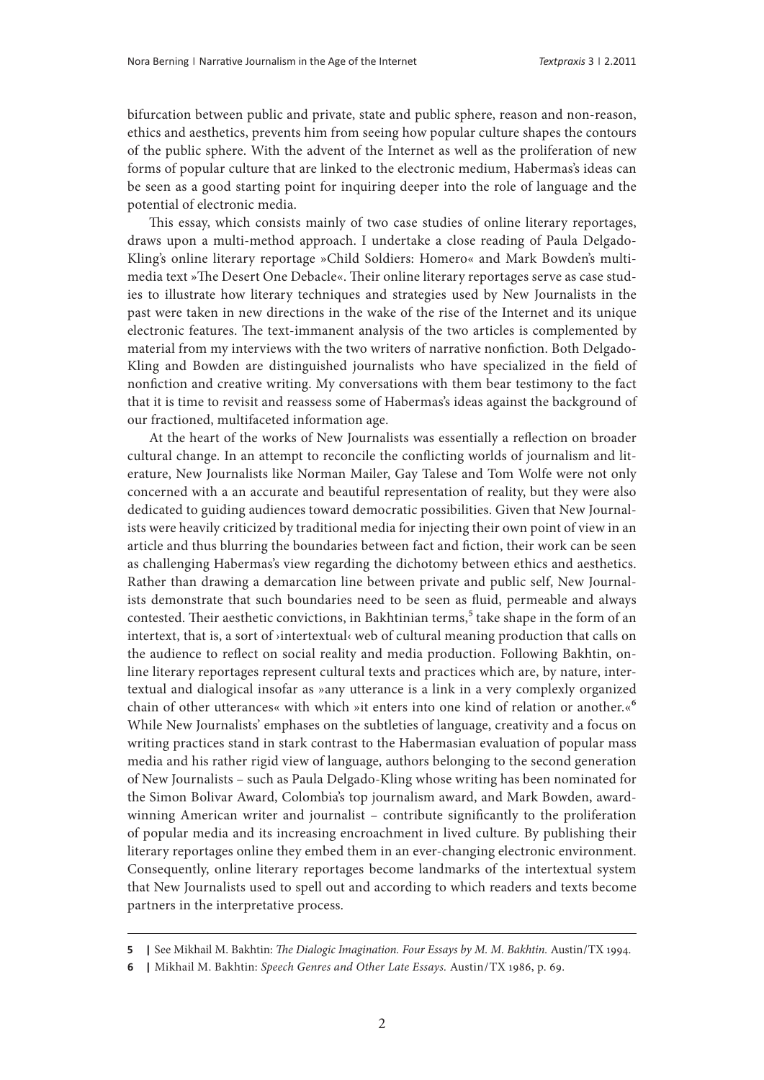bifurcation between public and private, state and public sphere, reason and non-reason, ethics and aesthetics, prevents him from seeing how popular culture shapes the contours of the public sphere. With the advent of the Internet as well as the proliferation of new forms of popular culture that are linked to the electronic medium, Habermas's ideas can be seen as a good starting point for inquiring deeper into the role of language and the potential of electronic media.

This essay, which consists mainly of two case studies of online literary reportages, draws upon a multi-method approach. I undertake a close reading of Paula Delgado-Kling's online literary reportage »Child Soldiers: Homero« and Mark Bowden's multimedia text »The Desert One Debacle«. Their online literary reportages serve as case studies to illustrate how literary techniques and strategies used by New Journalists in the past were taken in new directions in the wake of the rise of the Internet and its unique electronic features. The text-immanent analysis of the two articles is complemented by material from my interviews with the two writers of narrative nonfiction. Both Delgado-Kling and Bowden are distinguished journalists who have specialized in the field of nonfiction and creative writing. My conversations with them bear testimony to the fact that it is time to revisit and reassess some of Habermas's ideas against the background of our fractioned, multifaceted information age.

At the heart of the works of New Journalists was essentially a reflection on broader cultural change. In an attempt to reconcile the conflicting worlds of journalism and literature, New Journalists like Norman Mailer, Gay Talese and Tom Wolfe were not only concerned with a an accurate and beautiful representation of reality, but they were also dedicated to guiding audiences toward democratic possibilities. Given that New Journalists were heavily criticized by traditional media for injecting their own point of view in an article and thus blurring the boundaries between fact and fiction, their work can be seen as challenging Habermas's view regarding the dichotomy between ethics and aesthetics. Rather than drawing a demarcation line between private and public self, New Journalists demonstrate that such boundaries need to be seen as fluid, permeable and always contested. Their aesthetic convictions, in Bakhtinian terms,<sup>5</sup> take shape in the form of an intertext, that is, a sort of ›intertextual‹ web of cultural meaning production that calls on the audience to reflect on social reality and media production. Following Bakhtin, online literary reportages represent cultural texts and practices which are, by nature, intertextual and dialogical insofar as »any utterance is a link in a very complexly organized chain of other utterances« with which »it enters into one kind of relation or another.«6 While New Journalists' emphases on the subtleties of language, creativity and a focus on writing practices stand in stark contrast to the Habermasian evaluation of popular mass media and his rather rigid view of language, authors belonging to the second generation of New Journalists – such as Paula Delgado-Kling whose writing has been nominated for the Simon Bolivar Award, Colombia's top journalism award, and Mark Bowden, awardwinning American writer and journalist – contribute significantly to the proliferation of popular media and its increasing encroachment in lived culture. By publishing their literary reportages online they embed them in an ever-changing electronic environment. Consequently, online literary reportages become landmarks of the intertextual system that New Journalists used to spell out and according to which readers and texts become partners in the interpretative process.

**<sup>5</sup> |** See Mikhail M. Bakhtin: *The Dialogic Imagination. Four Essays by M. M. Bakhtin.* Austin/TX 1994.

**<sup>6</sup> |** Mikhail M. Bakhtin: *Speech Genres and Other Late Essays.* Austin/TX 1986, p. 69.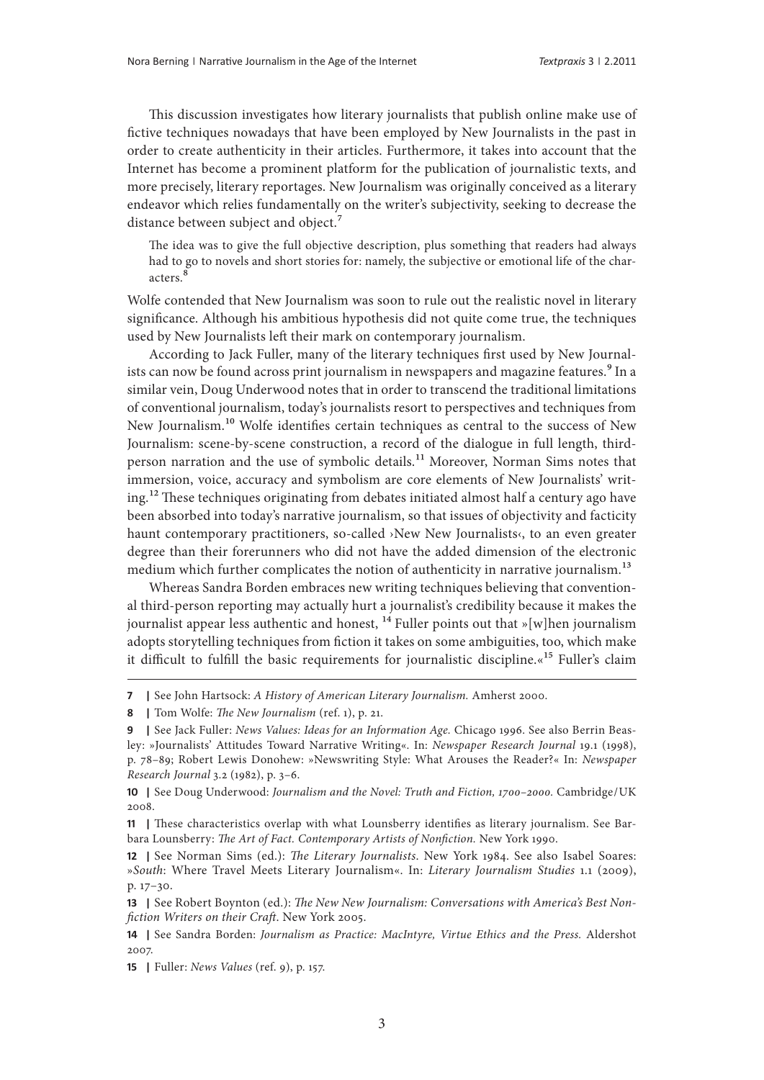This discussion investigates how literary journalists that publish online make use of fictive techniques nowadays that have been employed by New Journalists in the past in order to create authenticity in their articles. Furthermore, it takes into account that the Internet has become a prominent platform for the publication of journalistic texts, and more precisely, literary reportages. New Journalism was originally conceived as a literary endeavor which relies fundamentally on the writer's subjectivity, seeking to decrease the distance between subject and object.<sup>7</sup>

The idea was to give the full objective description, plus something that readers had always had to go to novels and short stories for: namely, the subjective or emotional life of the characters.<sup>8</sup>

Wolfe contended that New Journalism was soon to rule out the realistic novel in literary significance. Although his ambitious hypothesis did not quite come true, the techniques used by New Journalists left their mark on contemporary journalism.

According to Jack Fuller, many of the literary techniques first used by New Journalists can now be found across print journalism in newspapers and magazine features.<sup>9</sup> In a similar vein, Doug Underwood notes that in order to transcend the traditional limitations of conventional journalism, today's journalists resort to perspectives and techniques from New Journalism.<sup>10</sup> Wolfe identifies certain techniques as central to the success of New Journalism: scene-by-scene construction, a record of the dialogue in full length, thirdperson narration and the use of symbolic details.<sup>11</sup> Moreover, Norman Sims notes that immersion, voice, accuracy and symbolism are core elements of New Journalists' writing.12 These techniques originating from debates initiated almost half a century ago have been absorbed into today's narrative journalism, so that issues of objectivity and facticity haunt contemporary practitioners, so-called ›New New Journalists‹, to an even greater degree than their forerunners who did not have the added dimension of the electronic medium which further complicates the notion of authenticity in narrative journalism.<sup>13</sup>

Whereas Sandra Borden embraces new writing techniques believing that conventional third-person reporting may actually hurt a journalist's credibility because it makes the journalist appear less authentic and honest,  $^{14}$  Fuller points out that »[w]hen journalism adopts storytelling techniques from fiction it takes on some ambiguities, too, which make it difficult to fulfill the basic requirements for journalistic discipline.«<sup>15</sup> Fuller's claim

**<sup>7</sup> |** See John Hartsock: *A History of American Literary Journalism.* Amherst 2000.

**<sup>8</sup> |** Tom Wolfe: *The New Journalism* (ref. 1), p. 21.

**<sup>9</sup> |** See Jack Fuller: *News Values: Ideas for an Information Age.* Chicago 1996. See also Berrin Beasley: »Journalists' Attitudes Toward Narrative Writing«. In: *Newspaper Research Journal* 19.1 (1998), p. 78–89; Robert Lewis Donohew: »Newswriting Style: What Arouses the Reader?« In: *Newspaper Research Journal* 3.2 (1982), p. 3–6.

**<sup>10</sup> |** See Doug Underwood: *Journalism and the Novel: Truth and Fiction, 1700–2000.* Cambridge/UK 2008.

**<sup>11</sup> |** These characteristics overlap with what Lounsberry identifies as literary journalism. See Barbara Lounsberry: *The Art of Fact. Contemporary Artists of Nonfiction.* New York 1990.

**<sup>12</sup> |** See Norman Sims (ed.): *The Literary Journalists*. New York 1984. See also Isabel Soares: »*South*: Where Travel Meets Literary Journalism«. In: *Literary Journalism Studies* 1.1 (2009), p. 17–30.

**<sup>13</sup> |** See Robert Boynton (ed.): *The New New Journalism: Conversations with America's Best Nonfiction Writers on their Craft*. New York 2005.

**<sup>14</sup> |** See Sandra Borden: *Journalism as Practice: MacIntyre, Virtue Ethics and the Press.* Aldershot 2007.

**<sup>15</sup> |** Fuller: *News Values* (ref. 9), p. 157.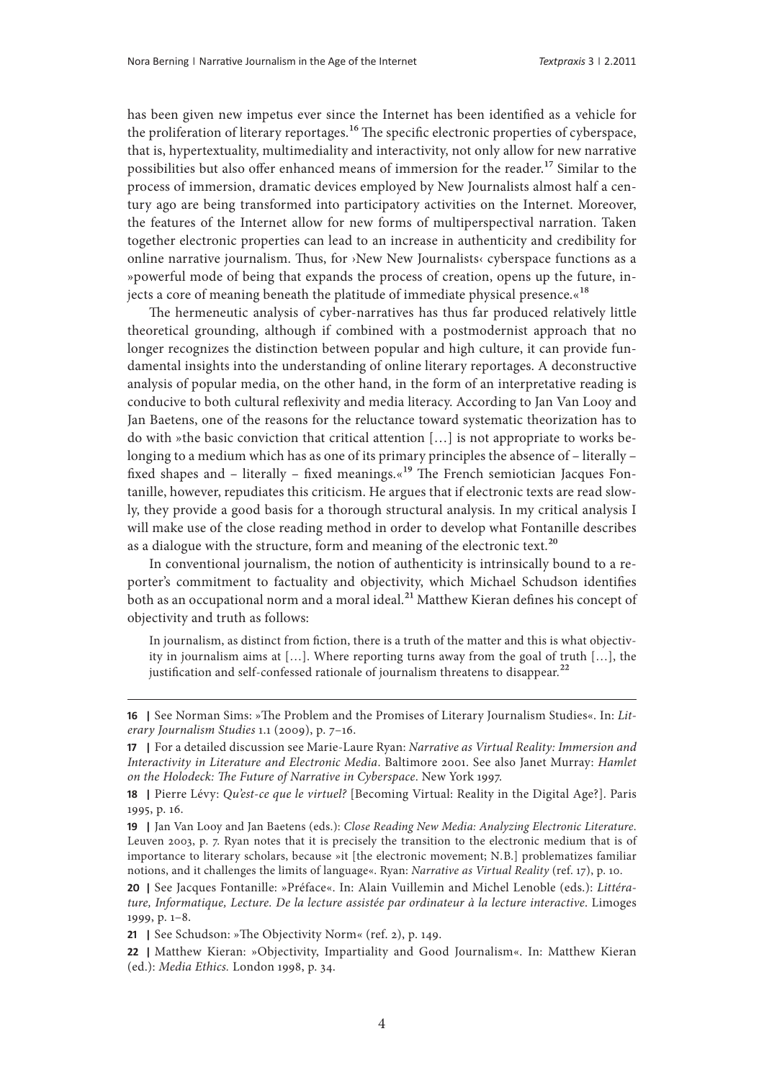has been given new impetus ever since the Internet has been identified as a vehicle for the proliferation of literary reportages.<sup>16</sup> The specific electronic properties of cyberspace, that is, hypertextuality, multimediality and interactivity, not only allow for new narrative possibilities but also offer enhanced means of immersion for the reader.<sup>17</sup> Similar to the process of immersion, dramatic devices employed by New Journalists almost half a century ago are being transformed into participatory activities on the Internet. Moreover, the features of the Internet allow for new forms of multiperspectival narration. Taken together electronic properties can lead to an increase in authenticity and credibility for online narrative journalism. Thus, for ›New New Journalists‹ cyberspace functions as a »powerful mode of being that expands the process of creation, opens up the future, injects a core of meaning beneath the platitude of immediate physical presence. $\alpha^{18}$ 

The hermeneutic analysis of cyber-narratives has thus far produced relatively little theoretical grounding, although if combined with a postmodernist approach that no longer recognizes the distinction between popular and high culture, it can provide fundamental insights into the understanding of online literary reportages. A deconstructive analysis of popular media, on the other hand, in the form of an interpretative reading is conducive to both cultural reflexivity and media literacy. According to Jan Van Looy and Jan Baetens, one of the reasons for the reluctance toward systematic theorization has to do with »the basic conviction that critical attention […] is not appropriate to works belonging to a medium which has as one of its primary principles the absence of – literally – fixed shapes and – literally – fixed meanings. $\alpha^{19}$  The French semiotician Jacques Fontanille, however, repudiates this criticism. He argues that if electronic texts are read slowly, they provide a good basis for a thorough structural analysis. In my critical analysis I will make use of the close reading method in order to develop what Fontanille describes as a dialogue with the structure, form and meaning of the electronic text.<sup>20</sup>

In conventional journalism, the notion of authenticity is intrinsically bound to a reporter's commitment to factuality and objectivity, which Michael Schudson identifies both as an occupational norm and a moral ideal.<sup>21</sup> Matthew Kieran defines his concept of objectivity and truth as follows:

In journalism, as distinct from fiction, there is a truth of the matter and this is what objectivity in journalism aims at […]. Where reporting turns away from the goal of truth […], the justification and self-confessed rationale of journalism threatens to disappear.<sup>22</sup>

**<sup>16</sup> |** See Norman Sims: »The Problem and the Promises of Literary Journalism Studies«. In: *Literary Journalism Studies* 1.1 (2009), p. 7–16.

**<sup>17</sup> |** For a detailed discussion see Marie-Laure Ryan: *Narrative as Virtual Reality: Immersion and Interactivity in Literature and Electronic Media*. Baltimore 2001. See also Janet Murray: *Hamlet on the Holodeck: The Future of Narrative in Cyberspace*. New York 1997.

**<sup>18</sup> |** Pierre Lévy: *Qu'est-ce que le virtuel?* [Becoming Virtual: Reality in the Digital Age?]. Paris 1995, p. 16.

**<sup>19</sup> |** Jan Van Looy and Jan Baetens (eds.): *Close Reading New Media: Analyzing Electronic Literature*. Leuven 2003, p. 7. Ryan notes that it is precisely the transition to the electronic medium that is of importance to literary scholars, because »it [the electronic movement; N.B.] problematizes familiar notions, and it challenges the limits of language«. Ryan: *Narrative as Virtual Reality* (ref. 17), p. 10.

**<sup>20</sup> |** See Jacques Fontanille: »Préface«. In: Alain Vuillemin and Michel Lenoble (eds.): *Littérature, Informatique, Lecture. De la lecture assistée par ordinateur à la lecture interactive*. Limoges 1999, p. 1–8.

**<sup>21</sup> |** See Schudson: »The Objectivity Norm« (ref. 2), p. 149.

**<sup>22</sup> |** Matthew Kieran: »Objectivity, Impartiality and Good Journalism«. In: Matthew Kieran (ed.): *Media Ethics.* London 1998, p. 34.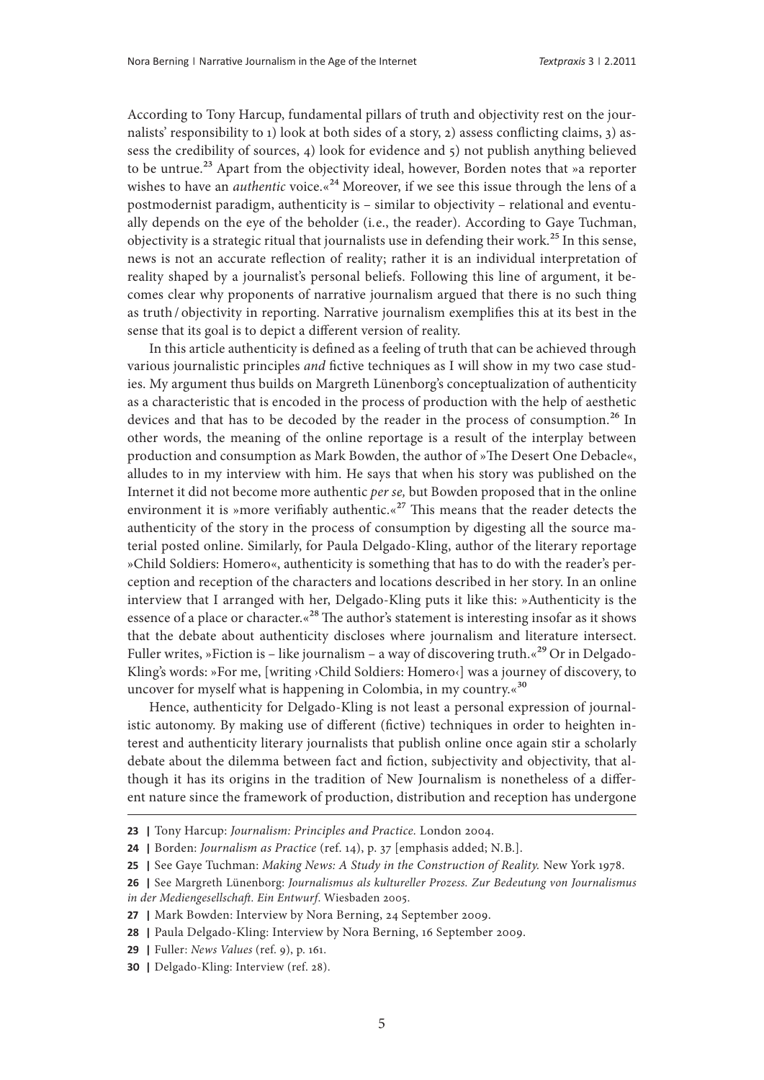According to Tony Harcup, fundamental pillars of truth and objectivity rest on the journalists' responsibility to 1) look at both sides of a story, 2) assess conflicting claims, 3) assess the credibility of sources, 4) look for evidence and 5) not publish anything believed to be untrue.<sup>23</sup> Apart from the objectivity ideal, however, Borden notes that »a reporter wishes to have an *authentic* voice.«<sup>24</sup> Moreover, if we see this issue through the lens of a postmodernist paradigm, authenticity is – similar to objectivity – relational and eventually depends on the eye of the beholder (i.e., the reader). According to Gaye Tuchman, objectivity is a strategic ritual that journalists use in defending their work.<sup>25</sup> In this sense, news is not an accurate reflection of reality; rather it is an individual interpretation of reality shaped by a journalist's personal beliefs. Following this line of argument, it becomes clear why proponents of narrative journalism argued that there is no such thing as truth / objectivity in reporting. Narrative journalism exemplifies this at its best in the sense that its goal is to depict a different version of reality.

In this article authenticity is defined as a feeling of truth that can be achieved through various journalistic principles *and* fictive techniques as I will show in my two case studies. My argument thus builds on Margreth Lünenborg's conceptualization of authenticity as a characteristic that is encoded in the process of production with the help of aesthetic devices and that has to be decoded by the reader in the process of consumption.<sup>26</sup> In other words, the meaning of the online reportage is a result of the interplay between production and consumption as Mark Bowden, the author of »The Desert One Debacle«, alludes to in my interview with him. He says that when his story was published on the Internet it did not become more authentic *per se,* but Bowden proposed that in the online environment it is »more verifiably authentic. $x^{27}$  This means that the reader detects the authenticity of the story in the process of consumption by digesting all the source material posted online. Similarly, for Paula Delgado-Kling, author of the literary reportage »Child Soldiers: Homero«, authenticity is something that has to do with the reader's perception and reception of the characters and locations described in her story. In an online interview that I arranged with her, Delgado-Kling puts it like this: »Authenticity is the essence of a place or character.«<sup>28</sup> The author's statement is interesting insofar as it shows that the debate about authenticity discloses where journalism and literature intersect. Fuller writes, »Fiction is – like journalism – a way of discovering truth.  $\alpha^{29}$  Or in Delgado-Kling's words: »For me, [writing ›Child Soldiers: Homero‹] was a journey of discovery, to uncover for myself what is happening in Colombia, in my country. $\frac{30}{2}$ 

Hence, authenticity for Delgado-Kling is not least a personal expression of journalistic autonomy. By making use of different (fictive) techniques in order to heighten interest and authenticity literary journalists that publish online once again stir a scholarly debate about the dilemma between fact and fiction, subjectivity and objectivity, that although it has its origins in the tradition of New Journalism is nonetheless of a different nature since the framework of production, distribution and reception has undergone

**<sup>23</sup> |** Tony Harcup: *Journalism: Principles and Practice.* London 2004.

**<sup>24</sup> |** Borden: *Journalism as Practice* (ref. 14), p. 37 [emphasis added; N.B.].

**<sup>25</sup> |** See Gaye Tuchman: *Making News: A Study in the Construction of Reality.* New York 1978.

**<sup>26</sup> |** See Margreth Lünenborg: *Journalismus als kultureller Prozess. Zur Bedeutung von Journalismus in der Mediengesellschaft. Ein Entwurf*. Wiesbaden 2005.

**<sup>27</sup> |** Mark Bowden: Interview by Nora Berning, 24 September 2009.

**<sup>28</sup> |** Paula Delgado-Kling: Interview by Nora Berning, 16 September 2009.

**<sup>29</sup> |** Fuller: *News Values* (ref. 9), p. 161.

**<sup>30</sup> |** Delgado-Kling: Interview (ref. 28).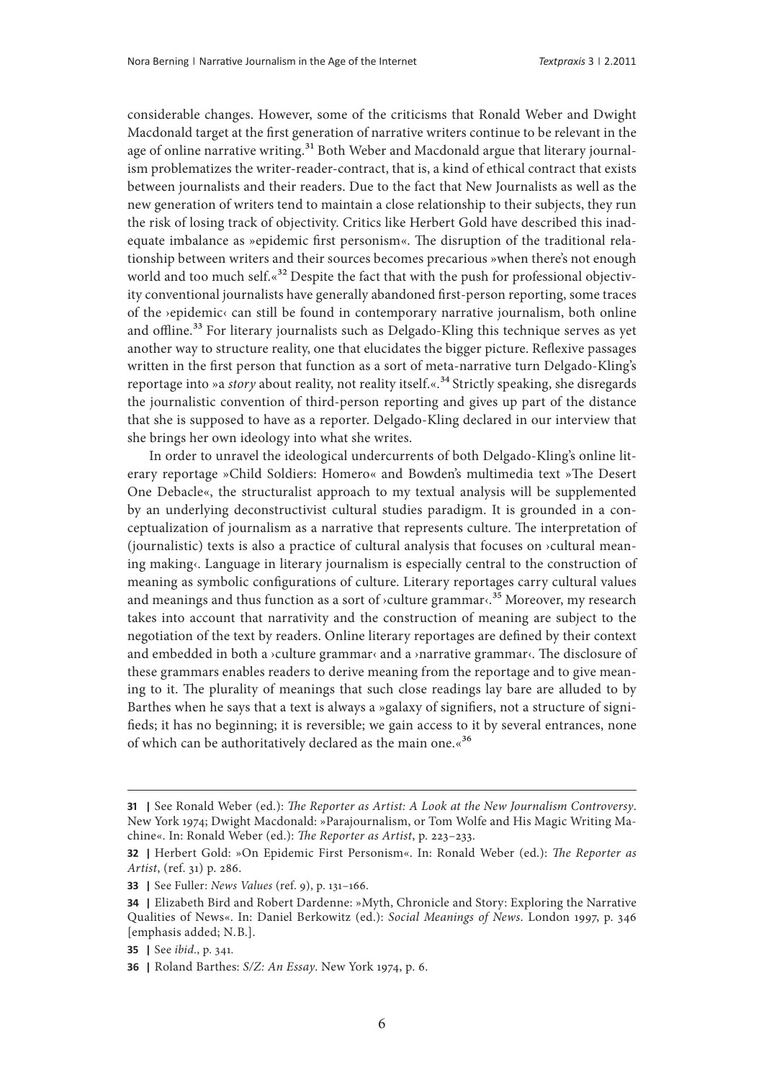considerable changes. However, some of the criticisms that Ronald Weber and Dwight Macdonald target at the first generation of narrative writers continue to be relevant in the age of online narrative writing.<sup>31</sup> Both Weber and Macdonald argue that literary journalism problematizes the writer-reader-contract, that is, a kind of ethical contract that exists between journalists and their readers. Due to the fact that New Journalists as well as the new generation of writers tend to maintain a close relationship to their subjects, they run the risk of losing track of objectivity. Critics like Herbert Gold have described this inadequate imbalance as »epidemic first personism«. The disruption of the traditional relationship between writers and their sources becomes precarious »when there's not enough world and too much self.«<sup>32</sup> Despite the fact that with the push for professional objectivity conventional journalists have generally abandoned first-person reporting, some traces of the ›epidemic‹ can still be found in contemporary narrative journalism, both online and offline.<sup>33</sup> For literary journalists such as Delgado-Kling this technique serves as yet another way to structure reality, one that elucidates the bigger picture. Reflexive passages written in the first person that function as a sort of meta-narrative turn Delgado-Kling's reportage into »a *story* about reality, not reality itself.«.<sup>34</sup> Strictly speaking, she disregards the journalistic convention of third-person reporting and gives up part of the distance that she is supposed to have as a reporter. Delgado-Kling declared in our interview that she brings her own ideology into what she writes.

In order to unravel the ideological undercurrents of both Delgado-Kling's online literary reportage »Child Soldiers: Homero« and Bowden's multimedia text »The Desert One Debacle«, the structuralist approach to my textual analysis will be supplemented by an underlying deconstructivist cultural studies paradigm. It is grounded in a conceptualization of journalism as a narrative that represents culture. The interpretation of (journalistic) texts is also a practice of cultural analysis that focuses on ›cultural meaning making«. Language in literary journalism is especially central to the construction of meaning as symbolic configurations of culture. Literary reportages carry cultural values and meanings and thus function as a sort of  $\alpha$ culture grammar $\alpha$ <sup>35</sup> Moreover, my research takes into account that narrativity and the construction of meaning are subject to the negotiation of the text by readers. Online literary reportages are defined by their context and embedded in both a ›culture grammar‹ and a ›narrative grammar‹. The disclosure of these grammars enables readers to derive meaning from the reportage and to give meaning to it. The plurality of meanings that such close readings lay bare are alluded to by Barthes when he says that a text is always a »galaxy of signifiers, not a structure of signifieds; it has no beginning; it is reversible; we gain access to it by several entrances, none of which can be authoritatively declared as the main one.«<sup>36</sup>

**<sup>31</sup> |** See Ronald Weber (ed.): *The Reporter as Artist: A Look at the New Journalism Controversy*. New York 1974; Dwight Macdonald: »Parajournalism, or Tom Wolfe and His Magic Writing Machine«. In: Ronald Weber (ed.): *The Reporter as Artist*, p. 223–233.

**<sup>32</sup> |** Herbert Gold: »On Epidemic First Personism«. In: Ronald Weber (ed.): *The Reporter as Artist*, (ref. 31) p. 286.

**<sup>33</sup> |** See Fuller: *News Values* (ref. 9), p. 131–166.

**<sup>34</sup> |** Elizabeth Bird and Robert Dardenne: »Myth, Chronicle and Story: Exploring the Narrative Qualities of News«. In: Daniel Berkowitz (ed.): *Social Meanings of News*. London 1997, p. 346 [emphasis added; N.B.].

**<sup>35</sup> |** See *ibid*., p. 341*.*

**<sup>36</sup> |** Roland Barthes: *S/Z: An Essay*. New York 1974, p. 6.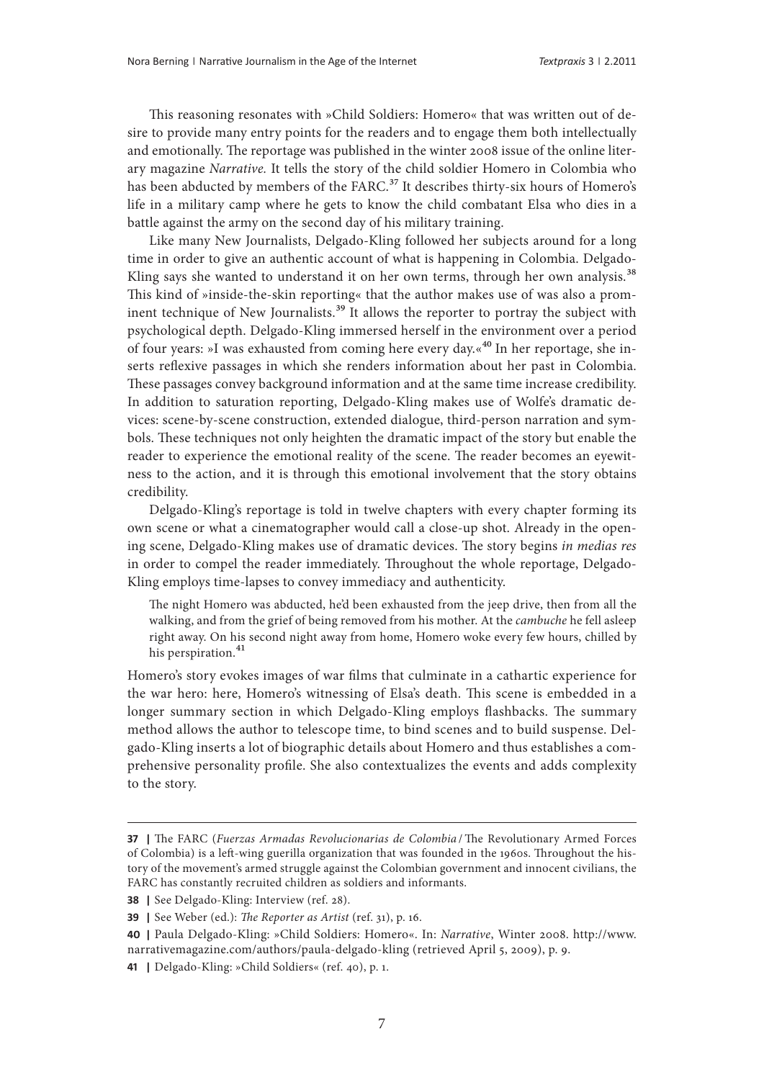This reasoning resonates with »Child Soldiers: Homero« that was written out of desire to provide many entry points for the readers and to engage them both intellectually and emotionally. The reportage was published in the winter 2008 issue of the online literary magazine *Narrative.* It tells the story of the child soldier Homero in Colombia who has been abducted by members of the FARC.<sup>37</sup> It describes thirty-six hours of Homero's life in a military camp where he gets to know the child combatant Elsa who dies in a battle against the army on the second day of his military training.

Like many New Journalists, Delgado-Kling followed her subjects around for a long time in order to give an authentic account of what is happening in Colombia. Delgado-Kling says she wanted to understand it on her own terms, through her own analysis.<sup>38</sup> This kind of »inside-the-skin reporting« that the author makes use of was also a prominent technique of New Journalists.<sup>39</sup> It allows the reporter to portray the subject with psychological depth. Delgado-Kling immersed herself in the environment over a period of four years: »I was exhausted from coming here every day.«<sup>40</sup> In her reportage, she inserts reflexive passages in which she renders information about her past in Colombia. These passages convey background information and at the same time increase credibility. In addition to saturation reporting, Delgado-Kling makes use of Wolfe's dramatic devices: scene-by-scene construction, extended dialogue, third-person narration and symbols. These techniques not only heighten the dramatic impact of the story but enable the reader to experience the emotional reality of the scene. The reader becomes an eyewitness to the action, and it is through this emotional involvement that the story obtains credibility.

Delgado-Kling's reportage is told in twelve chapters with every chapter forming its own scene or what a cinematographer would call a close-up shot. Already in the opening scene, Delgado-Kling makes use of dramatic devices. The story begins *in medias res*  in order to compel the reader immediately. Throughout the whole reportage, Delgado-Kling employs time-lapses to convey immediacy and authenticity.

The night Homero was abducted, he'd been exhausted from the jeep drive, then from all the walking, and from the grief of being removed from his mother. At the *cambuche* he fell asleep right away. On his second night away from home, Homero woke every few hours, chilled by his perspiration.<sup>41</sup>

Homero's story evokes images of war films that culminate in a cathartic experience for the war hero: here, Homero's witnessing of Elsa's death. This scene is embedded in a longer summary section in which Delgado-Kling employs flashbacks. The summary method allows the author to telescope time, to bind scenes and to build suspense. Delgado-Kling inserts a lot of biographic details about Homero and thus establishes a comprehensive personality profile. She also contextualizes the events and adds complexity to the story.

**<sup>37</sup> |** The FARC (*Fuerzas Armadas Revolucionarias de Colombia* /The Revolutionary Armed Forces of Colombia) is a left-wing guerilla organization that was founded in the 1960s. Throughout the history of the movement's armed struggle against the Colombian government and innocent civilians, the FARC has constantly recruited children as soldiers and informants.

**<sup>38</sup> |** See Delgado-Kling: Interview (ref. 28).

**<sup>39</sup> |** See Weber (ed.): *The Reporter as Artist* (ref. 31), p. 16.

**<sup>40</sup> |** Paula Delgado-Kling: »Child Soldiers: Homero«. In: *Narrative*, Winter 2008. [http://www.](http://www.narrativemagazine.com/authors/paula-delgado-kling) [narrativemagazine.com/authors/paula-delgado-kling](http://www.narrativemagazine.com/authors/paula-delgado-kling) (retrieved April 5, 2009), p. 9.

**<sup>41</sup> |** Delgado-Kling: »Child Soldiers« (ref. 40), p. 1.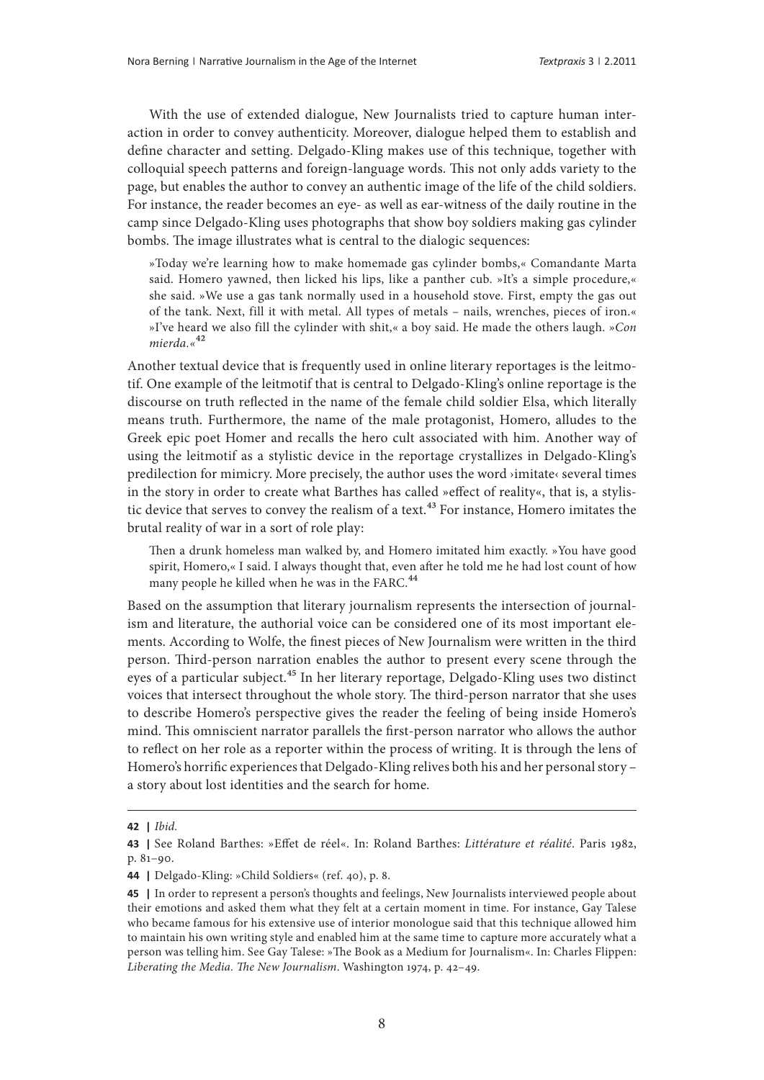With the use of extended dialogue, New Journalists tried to capture human interaction in order to convey authenticity. Moreover, dialogue helped them to establish and define character and setting. Delgado-Kling makes use of this technique, together with colloquial speech patterns and foreign-language words. This not only adds variety to the page, but enables the author to convey an authentic image of the life of the child soldiers. For instance, the reader becomes an eye- as well as ear-witness of the daily routine in the camp since Delgado-Kling uses photographs that show boy soldiers making gas cylinder bombs. The image illustrates what is central to the dialogic sequences:

»Today we're learning how to make homemade gas cylinder bombs,« Comandante Marta said. Homero yawned, then licked his lips, like a panther cub. »It's a simple procedure,« she said. »We use a gas tank normally used in a household stove. First, empty the gas out of the tank. Next, fill it with metal. All types of metals – nails, wrenches, pieces of iron.« »I've heard we also fill the cylinder with shit,« a boy said. He made the others laugh. *»Con mierda.«*42

Another textual device that is frequently used in online literary reportages is the leitmotif. One example of the leitmotif that is central to Delgado-Kling's online reportage is the discourse on truth reflected in the name of the female child soldier Elsa, which literally means truth. Furthermore, the name of the male protagonist, Homero, alludes to the Greek epic poet Homer and recalls the hero cult associated with him. Another way of using the leitmotif as a stylistic device in the reportage crystallizes in Delgado-Kling's predilection for mimicry. More precisely, the author uses the word ›imitate‹ several times in the story in order to create what Barthes has called »effect of reality«, that is, a stylistic device that serves to convey the realism of a text.<sup>43</sup> For instance, Homero imitates the brutal reality of war in a sort of role play:

Then a drunk homeless man walked by, and Homero imitated him exactly. »You have good spirit, Homero,« I said. I always thought that, even after he told me he had lost count of how many people he killed when he was in the FARC.<sup>44</sup>

Based on the assumption that literary journalism represents the intersection of journalism and literature, the authorial voice can be considered one of its most important elements. According to Wolfe, the finest pieces of New Journalism were written in the third person. Third-person narration enables the author to present every scene through the eyes of a particular subject.<sup>45</sup> In her literary reportage, Delgado-Kling uses two distinct voices that intersect throughout the whole story. The third-person narrator that she uses to describe Homero's perspective gives the reader the feeling of being inside Homero's mind. This omniscient narrator parallels the first-person narrator who allows the author to reflect on her role as a reporter within the process of writing. It is through the lens of Homero's horrific experiences that Delgado-Kling relives both his and her personal story – a story about lost identities and the search for home.

**<sup>42</sup> |** *Ibid.*

**<sup>43</sup> |** See Roland Barthes: »Effet de réel«. In: Roland Barthes: *Littérature et réalité*. Paris 1982, p. 81–90.

**<sup>44</sup> |** Delgado-Kling: »Child Soldiers« (ref. 40), p. 8.

**<sup>45</sup> |** In order to represent a person's thoughts and feelings, New Journalists interviewed people about their emotions and asked them what they felt at a certain moment in time. For instance, Gay Talese who became famous for his extensive use of interior monologue said that this technique allowed him to maintain his own writing style and enabled him at the same time to capture more accurately what a person was telling him. See Gay Talese: »The Book as a Medium for Journalism«. In: Charles Flippen: *Liberating the Media. The New Journalism*. Washington 1974, p. 42–49.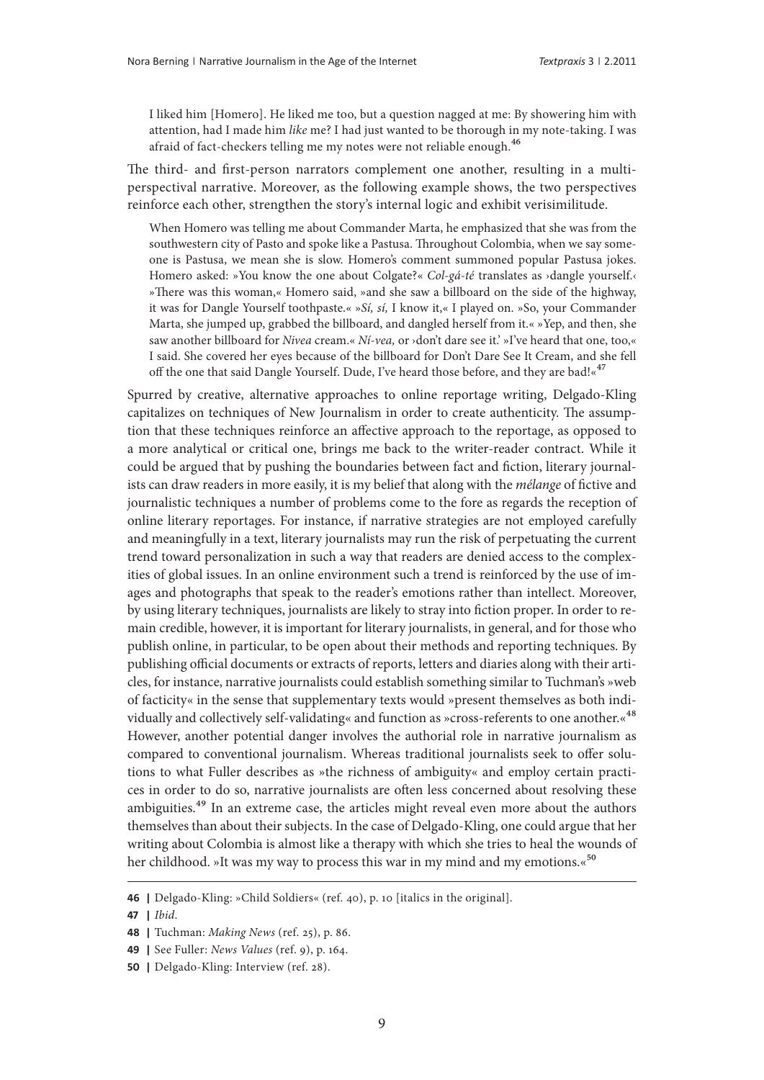I liked him [Homero]. He liked me too, but a question nagged at me: By showering him with attention, had I made him *like* me? I had just wanted to be thorough in my note-taking. I was afraid of fact-checkers telling me my notes were not reliable enough.<sup>46</sup>

The third- and first-person narrators complement one another, resulting in a multiperspectival narrative. Moreover, as the following example shows, the two perspectives reinforce each other, strengthen the story's internal logic and exhibit verisimilitude.

When Homero was telling me about Commander Marta, he emphasized that she was from the southwestern city of Pasto and spoke like a Pastusa. Throughout Colombia, when we say someone is Pastusa, we mean she is slow. Homero's comment summoned popular Pastusa jokes. Homero asked: »You know the one about Colgate?« *Col-gá-té* translates as ›dangle yourself.‹ »There was this woman,« Homero said, »and she saw a billboard on the side of the highway, it was for Dangle Yourself toothpaste.« »*Sí, sí,* I know it,« I played on. »So, your Commander Marta, she jumped up, grabbed the billboard, and dangled herself from it.« »Yep, and then, she saw another billboard for *Nivea* cream.« *Ní-vea,* or ›don't dare see it.' »I've heard that one, too,« I said. She covered her eyes because of the billboard for Don't Dare See It Cream, and she fell off the one that said Dangle Yourself. Dude, I've heard those before, and they are bad!<sup>«47</sup>

Spurred by creative, alternative approaches to online reportage writing, Delgado-Kling capitalizes on techniques of New Journalism in order to create authenticity. The assumption that these techniques reinforce an affective approach to the reportage, as opposed to a more analytical or critical one, brings me back to the writer-reader contract. While it could be argued that by pushing the boundaries between fact and fiction, literary journalists can draw readers in more easily, it is my belief that along with the *mélange* of fictive and journalistic techniques a number of problems come to the fore as regards the reception of online literary reportages. For instance, if narrative strategies are not employed carefully and meaningfully in a text, literary journalists may run the risk of perpetuating the current trend toward personalization in such a way that readers are denied access to the complexities of global issues. In an online environment such a trend is reinforced by the use of images and photographs that speak to the reader's emotions rather than intellect. Moreover, by using literary techniques, journalists are likely to stray into fiction proper. In order to remain credible, however, it is important for literary journalists, in general, and for those who publish online, in particular, to be open about their methods and reporting techniques. By publishing official documents or extracts of reports, letters and diaries along with their articles, for instance, narrative journalists could establish something similar to Tuchman's »web of facticity« in the sense that supplementary texts would »present themselves as both individually and collectively self-validating« and function as »cross-referents to one another.«48 However, another potential danger involves the authorial role in narrative journalism as compared to conventional journalism. Whereas traditional journalists seek to offer solutions to what Fuller describes as »the richness of ambiguity« and employ certain practices in order to do so, narrative journalists are often less concerned about resolving these ambiguities.<sup>49</sup> In an extreme case, the articles might reveal even more about the authors themselves than about their subjects. In the case of Delgado-Kling, one could argue that her writing about Colombia is almost like a therapy with which she tries to heal the wounds of her childhood. »It was my way to process this war in my mind and my emotions.«<sup>50</sup>

**<sup>46</sup> |** Delgado-Kling: »Child Soldiers« (ref. 40), p. 10 [italics in the original].

**<sup>47</sup> |** *Ibid*.

**<sup>48</sup> |** Tuchman: *Making News* (ref. 25), p. 86.

**<sup>49</sup> |** See Fuller: *News Values* (ref. 9), p. 164.

**<sup>50</sup> |** Delgado-Kling: Interview (ref. 28).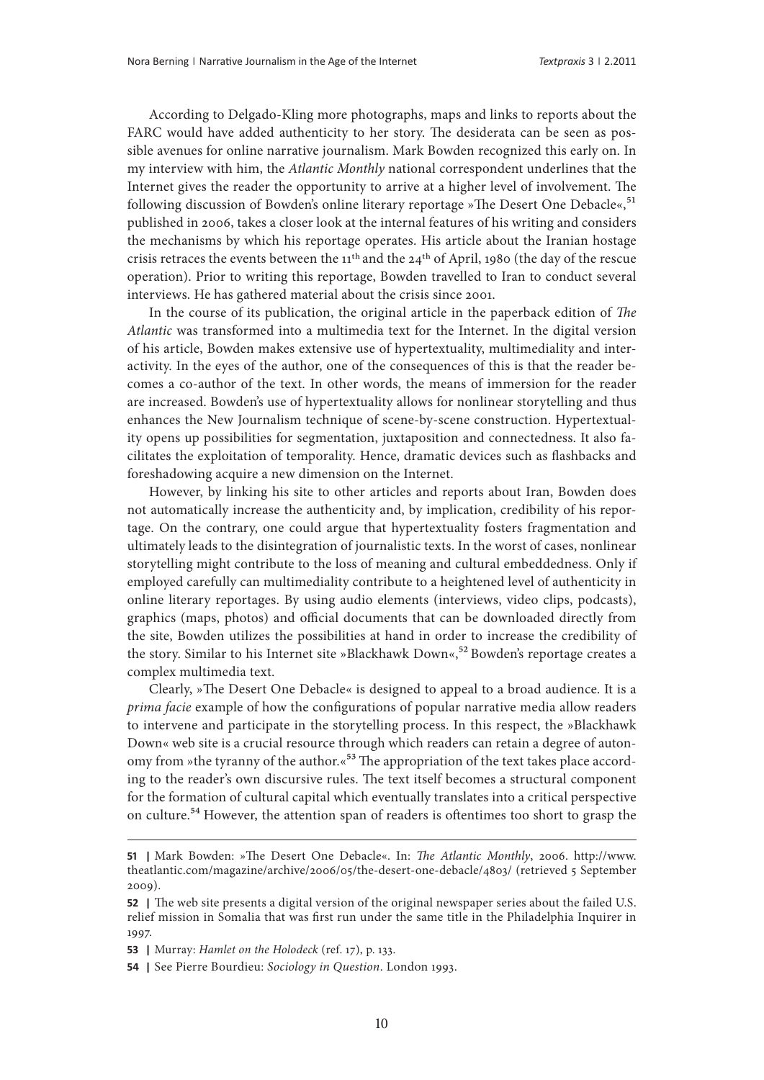According to Delgado-Kling more photographs, maps and links to reports about the FARC would have added authenticity to her story. The desiderata can be seen as possible avenues for online narrative journalism. Mark Bowden recognized this early on. In my interview with him, the *Atlantic Monthly* national correspondent underlines that the Internet gives the reader the opportunity to arrive at a higher level of involvement. The following discussion of Bowden's online literary reportage »The Desert One Debacle«,<sup>51</sup> published in 2006, takes a closer look at the internal features of his writing and considers the mechanisms by which his reportage operates. His article about the Iranian hostage crisis retraces the events between the 11th and the 24th of April, 1980 (the day of the rescue operation). Prior to writing this reportage, Bowden travelled to Iran to conduct several interviews. He has gathered material about the crisis since 2001.

In the course of its publication, the original article in the paperback edition of *The Atlantic* was transformed into a multimedia text for the Internet. In the digital version of his article, Bowden makes extensive use of hypertextuality, multimediality and interactivity. In the eyes of the author, one of the consequences of this is that the reader becomes a co-author of the text. In other words, the means of immersion for the reader are increased. Bowden's use of hypertextuality allows for nonlinear storytelling and thus enhances the New Journalism technique of scene-by-scene construction. Hypertextuality opens up possibilities for segmentation, juxtaposition and connectedness. It also facilitates the exploitation of temporality. Hence, dramatic devices such as flashbacks and foreshadowing acquire a new dimension on the Internet.

However, by linking his site to other articles and reports about Iran, Bowden does not automatically increase the authenticity and, by implication, credibility of his reportage. On the contrary, one could argue that hypertextuality fosters fragmentation and ultimately leads to the disintegration of journalistic texts. In the worst of cases, nonlinear storytelling might contribute to the loss of meaning and cultural embeddedness. Only if employed carefully can multimediality contribute to a heightened level of authenticity in online literary reportages. By using audio elements (interviews, video clips, podcasts), graphics (maps, photos) and official documents that can be downloaded directly from the site, Bowden utilizes the possibilities at hand in order to increase the credibility of the story. Similar to his Internet site »Blackhawk Down«,<sup>52</sup> Bowden's reportage creates a complex multimedia text.

Clearly, »The Desert One Debacle« is designed to appeal to a broad audience. It is a *prima facie* example of how the configurations of popular narrative media allow readers to intervene and participate in the storytelling process. In this respect, the »Blackhawk Down« web site is a crucial resource through which readers can retain a degree of autonomy from »the tyranny of the author.«<sup>53</sup> The appropriation of the text takes place according to the reader's own discursive rules. The text itself becomes a structural component for the formation of cultural capital which eventually translates into a critical perspective on culture.<sup>54</sup> However, the attention span of readers is oftentimes too short to grasp the

**<sup>51</sup> |** Mark Bowden: »The Desert One Debacle«. In: *The Atlantic Monthly*, 2006. [http://www.](http://www.theatlantic.com/magazine/archive/2006/05/the-desert-one-debacle/4803/) [theatlantic.com/magazine/archive/2006/05/the-desert-one-debacle/4803/](http://www.theatlantic.com/magazine/archive/2006/05/the-desert-one-debacle/4803/) (retrieved 5 September 2009).

**<sup>52</sup> |** The web site presents a digital version of the original newspaper series about the failed U.S. relief mission in Somalia that was first run under the same title in the Philadelphia Inquirer in 1997.

**<sup>53</sup> |** Murray: *Hamlet on the Holodeck* (ref. 17), p. 133.

**<sup>54</sup> |** See Pierre Bourdieu: *Sociology in Question*. London 1993.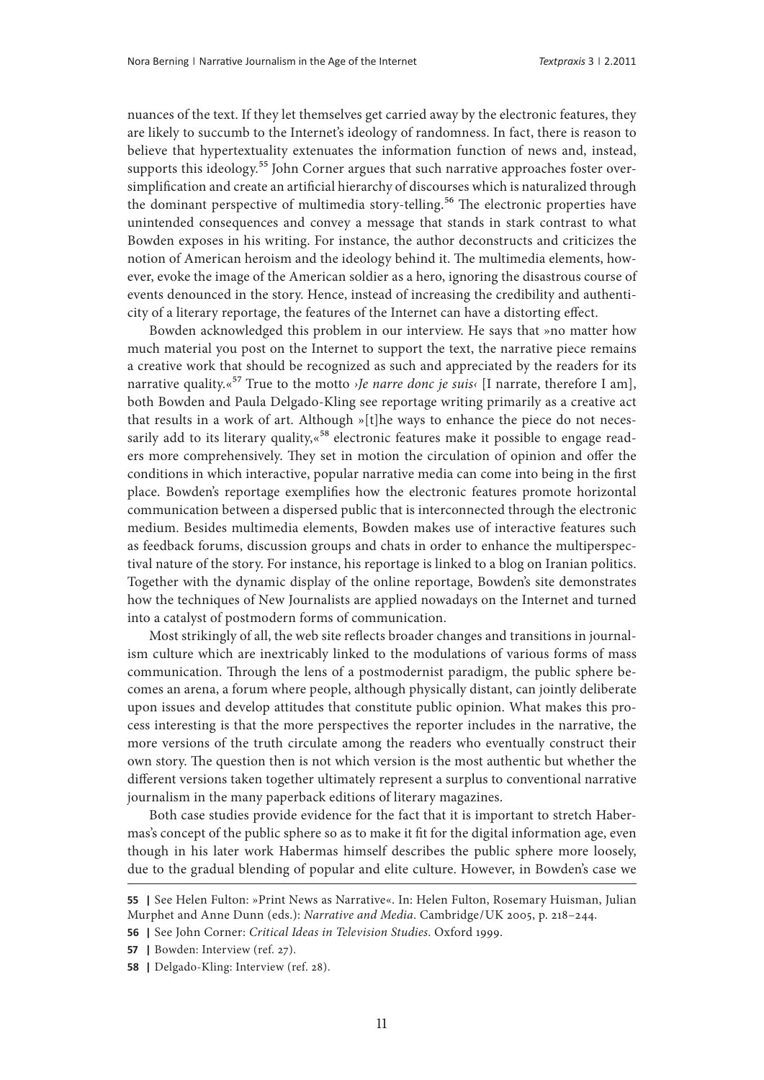nuances of the text. If they let themselves get carried away by the electronic features, they are likely to succumb to the Internet's ideology of randomness. In fact, there is reason to believe that hypertextuality extenuates the information function of news and, instead, supports this ideology.<sup>55</sup> John Corner argues that such narrative approaches foster oversimplification and create an artificial hierarchy of discourses which is naturalized through the dominant perspective of multimedia story-telling.<sup>56</sup> The electronic properties have unintended consequences and convey a message that stands in stark contrast to what Bowden exposes in his writing. For instance, the author deconstructs and criticizes the notion of American heroism and the ideology behind it. The multimedia elements, however, evoke the image of the American soldier as a hero, ignoring the disastrous course of events denounced in the story. Hence, instead of increasing the credibility and authenticity of a literary reportage, the features of the Internet can have a distorting effect.

Bowden acknowledged this problem in our interview. He says that »no matter how much material you post on the Internet to support the text, the narrative piece remains a creative work that should be recognized as such and appreciated by the readers for its narrative quality.«57 True to the motto *›Je narre donc je suis‹* [I narrate, therefore I am], both Bowden and Paula Delgado-Kling see reportage writing primarily as a creative act that results in a work of art. Although »[t]he ways to enhance the piece do not necessarily add to its literary quality,«<sup>58</sup> electronic features make it possible to engage readers more comprehensively. They set in motion the circulation of opinion and offer the conditions in which interactive, popular narrative media can come into being in the first place. Bowden's reportage exemplifies how the electronic features promote horizontal communication between a dispersed public that is interconnected through the electronic medium. Besides multimedia elements, Bowden makes use of interactive features such as feedback forums, discussion groups and chats in order to enhance the multiperspectival nature of the story. For instance, his reportage is linked to a blog on Iranian politics. Together with the dynamic display of the online reportage, Bowden's site demonstrates how the techniques of New Journalists are applied nowadays on the Internet and turned into a catalyst of postmodern forms of communication.

Most strikingly of all, the web site reflects broader changes and transitions in journalism culture which are inextricably linked to the modulations of various forms of mass communication. Through the lens of a postmodernist paradigm, the public sphere becomes an arena, a forum where people, although physically distant, can jointly deliberate upon issues and develop attitudes that constitute public opinion. What makes this process interesting is that the more perspectives the reporter includes in the narrative, the more versions of the truth circulate among the readers who eventually construct their own story. The question then is not which version is the most authentic but whether the different versions taken together ultimately represent a surplus to conventional narrative journalism in the many paperback editions of literary magazines.

Both case studies provide evidence for the fact that it is important to stretch Habermas's concept of the public sphere so as to make it fit for the digital information age, even though in his later work Habermas himself describes the public sphere more loosely, due to the gradual blending of popular and elite culture. However, in Bowden's case we

**<sup>55</sup> |** See Helen Fulton: »Print News as Narrative«. In: Helen Fulton, Rosemary Huisman, Julian Murphet and Anne Dunn (eds.): *Narrative and Media*. Cambridge/UK 2005, p. 218–244.

**<sup>56</sup> |** See John Corner: *Critical Ideas in Television Studies*. Oxford 1999.

**<sup>57</sup> |** Bowden: Interview (ref. 27).

**<sup>58</sup> |** Delgado-Kling: Interview (ref. 28).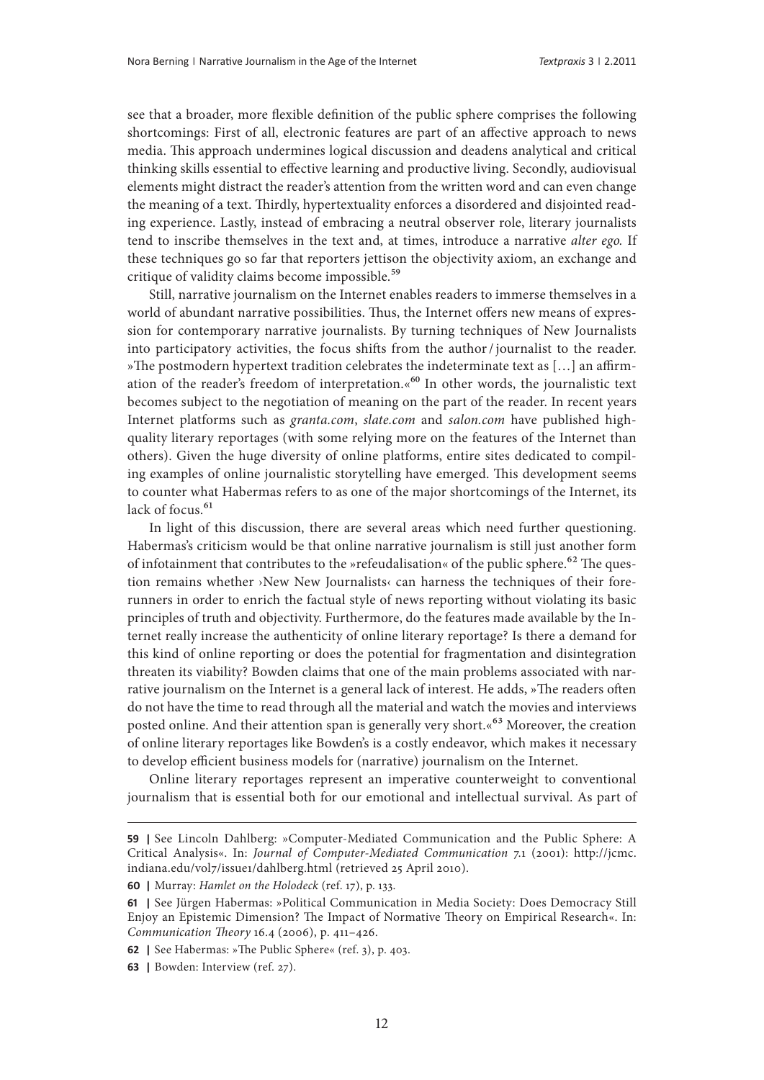see that a broader, more flexible definition of the public sphere comprises the following shortcomings: First of all, electronic features are part of an affective approach to news media. This approach undermines logical discussion and deadens analytical and critical thinking skills essential to effective learning and productive living. Secondly, audiovisual elements might distract the reader's attention from the written word and can even change the meaning of a text. Thirdly, hypertextuality enforces a disordered and disjointed reading experience. Lastly, instead of embracing a neutral observer role, literary journalists tend to inscribe themselves in the text and, at times, introduce a narrative *alter ego.* If these techniques go so far that reporters jettison the objectivity axiom, an exchange and critique of validity claims become impossible.<sup>59</sup>

Still, narrative journalism on the Internet enables readers to immerse themselves in a world of abundant narrative possibilities. Thus, the Internet offers new means of expression for contemporary narrative journalists. By turning techniques of New Journalists into participatory activities, the focus shifts from the author/journalist to the reader. »The postmodern hypertext tradition celebrates the indeterminate text as […] an affirmation of the reader's freedom of interpretation.«<sup>60</sup> In other words, the journalistic text becomes subject to the negotiation of meaning on the part of the reader. In recent years Internet platforms such as *granta.com*, *slate.com* and *salon.com* have published highquality literary reportages (with some relying more on the features of the Internet than others). Given the huge diversity of online platforms, entire sites dedicated to compiling examples of online journalistic storytelling have emerged. This development seems to counter what Habermas refers to as one of the major shortcomings of the Internet, its lack of focus.<sup>61</sup>

In light of this discussion, there are several areas which need further questioning. Habermas's criticism would be that online narrative journalism is still just another form of infotainment that contributes to the »refeudalisation« of the public sphere.<sup>62</sup> The question remains whether ›New New Journalists‹ can harness the techniques of their forerunners in order to enrich the factual style of news reporting without violating its basic principles of truth and objectivity. Furthermore, do the features made available by the Internet really increase the authenticity of online literary reportage? Is there a demand for this kind of online reporting or does the potential for fragmentation and disintegration threaten its viability? Bowden claims that one of the main problems associated with narrative journalism on the Internet is a general lack of interest. He adds, »The readers often do not have the time to read through all the material and watch the movies and interviews posted online. And their attention span is generally very short.«<sup>63</sup> Moreover, the creation of online literary reportages like Bowden's is a costly endeavor, which makes it necessary to develop efficient business models for (narrative) journalism on the Internet.

Online literary reportages represent an imperative counterweight to conventional journalism that is essential both for our emotional and intellectual survival. As part of

**<sup>59</sup> |** See Lincoln Dahlberg: »Computer-Mediated Communication and the Public Sphere: A Critical Analysis«. In: *Journal of Computer-Mediated Communication* 7.1 (2001): [http://jcmc.](http://jcmc.indiana.edu/vol7/issue1/dahlberg.html) [indiana.edu/vol7/issue1/dahlberg.html](http://jcmc.indiana.edu/vol7/issue1/dahlberg.html) (retrieved 25 April 2010).

**<sup>60</sup> |** Murray: *Hamlet on the Holodeck* (ref. 17), p. 133.

**<sup>61</sup> |** See Jürgen Habermas: »Political Communication in Media Society: Does Democracy Still Enjoy an Epistemic Dimension? The Impact of Normative Theory on Empirical Research«. In: *Communication Theory* 16.4 (2006), p. 411–426.

**<sup>62</sup> |** See Habermas: »The Public Sphere« (ref. 3), p. 403.

**<sup>63</sup> |** Bowden: Interview (ref. 27).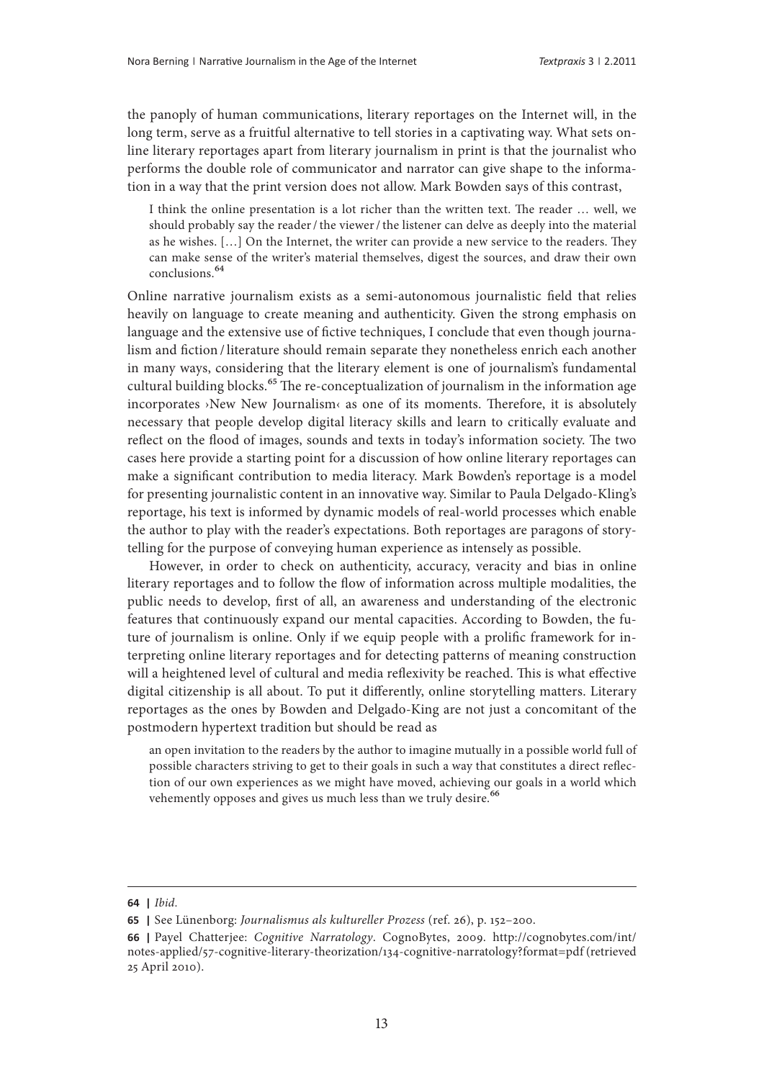the panoply of human communications, literary reportages on the Internet will, in the long term, serve as a fruitful alternative to tell stories in a captivating way. What sets online literary reportages apart from literary journalism in print is that the journalist who performs the double role of communicator and narrator can give shape to the information in a way that the print version does not allow. Mark Bowden says of this contrast,

I think the online presentation is a lot richer than the written text. The reader … well, we should probably say the reader/the viewer/the listener can delve as deeply into the material as he wishes. […] On the Internet, the writer can provide a new service to the readers. They can make sense of the writer's material themselves, digest the sources, and draw their own conclusions.64

Online narrative journalism exists as a semi-autonomous journalistic field that relies heavily on language to create meaning and authenticity. Given the strong emphasis on language and the extensive use of fictive techniques, I conclude that even though journalism and fiction /literature should remain separate they nonetheless enrich each another in many ways, considering that the literary element is one of journalism's fundamental cultural building blocks.<sup>65</sup> The re-conceptualization of journalism in the information age incorporates ›New New Journalism‹ as one of its moments. Therefore, it is absolutely necessary that people develop digital literacy skills and learn to critically evaluate and reflect on the flood of images, sounds and texts in today's information society. The two cases here provide a starting point for a discussion of how online literary reportages can make a significant contribution to media literacy. Mark Bowden's reportage is a model for presenting journalistic content in an innovative way. Similar to Paula Delgado-Kling's reportage, his text is informed by dynamic models of real-world processes which enable the author to play with the reader's expectations. Both reportages are paragons of storytelling for the purpose of conveying human experience as intensely as possible.

However, in order to check on authenticity, accuracy, veracity and bias in online literary reportages and to follow the flow of information across multiple modalities, the public needs to develop, first of all, an awareness and understanding of the electronic features that continuously expand our mental capacities. According to Bowden, the future of journalism is online. Only if we equip people with a prolific framework for interpreting online literary reportages and for detecting patterns of meaning construction will a heightened level of cultural and media reflexivity be reached. This is what effective digital citizenship is all about. To put it differently, online storytelling matters. Literary reportages as the ones by Bowden and Delgado-King are not just a concomitant of the postmodern hypertext tradition but should be read as

an open invitation to the readers by the author to imagine mutually in a possible world full of possible characters striving to get to their goals in such a way that constitutes a direct reflection of our own experiences as we might have moved, achieving our goals in a world which vehemently opposes and gives us much less than we truly desire.<sup>66</sup>

**<sup>64</sup> |** *Ibid*.

**<sup>65</sup> |** See Lünenborg: *Journalismus als kultureller Prozess* (ref. 26), p. 152–200.

**<sup>66</sup> |** Payel Chatterjee: *Cognitive Narratology*. CognoBytes, 2009. [http://cognobytes.com/int/](http://cognobytesnotes.wordpress.com/2010/02/07/cognitive-narratology-2/) [notes-applied/57-cognitive-literary-theorization/134-cognitive-narratology?format=pdf](http://cognobytesnotes.wordpress.com/2010/02/07/cognitive-narratology-2/) (retrieved 25 April 2010).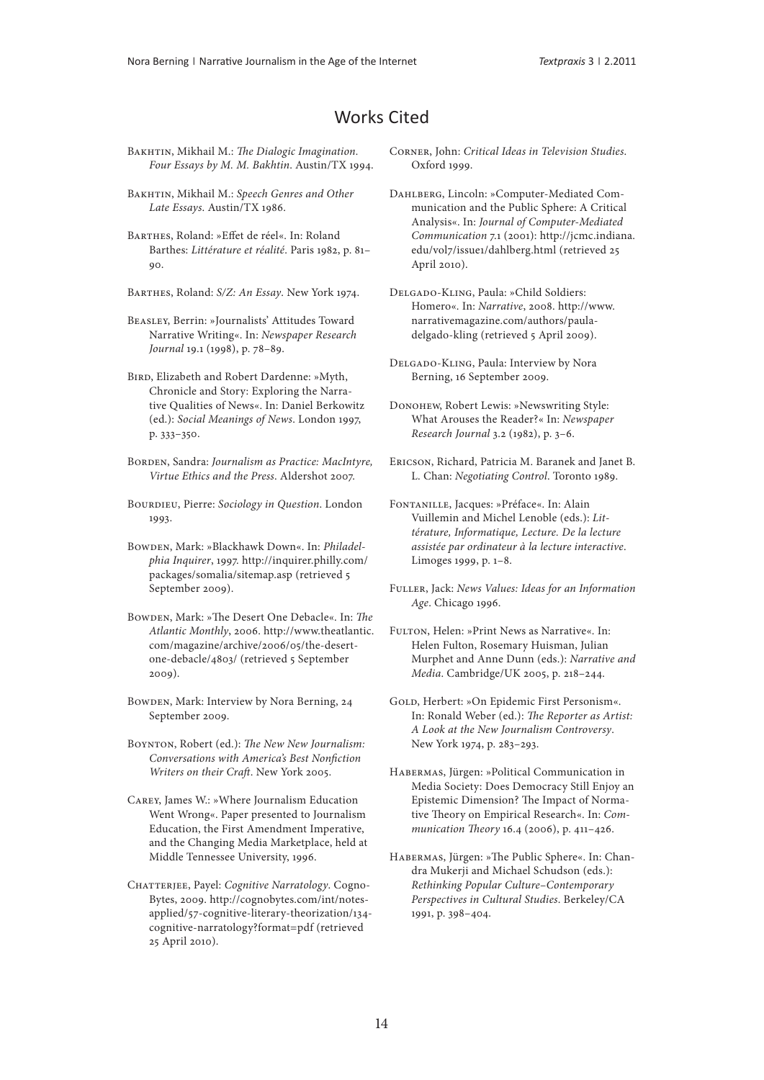### Works Cited

- Bakhtin, Mikhail M.: *The Dialogic Imagination. Four Essays by M. M. Bakhtin*. Austin/TX 1994.
- Bakhtin, Mikhail M.: *Speech Genres and Other Late Essays*. Austin/TX 1986.
- Barthes, Roland: »Effet de réel«. In: Roland Barthes: *Littérature et réalité*. Paris 1982, p. 81– 90.
- Barthes, Roland: *S/Z: An Essay*. New York 1974.
- Beasley, Berrin: »Journalists' Attitudes Toward Narrative Writing«. In: *Newspaper Research Journal* 19.1 (1998), p. 78–89.
- Bird, Elizabeth and Robert Dardenne: »Myth, Chronicle and Story: Exploring the Narrative Qualities of News«. In: Daniel Berkowitz (ed.): *Social Meanings of News*. London 1997, p. 333–350.
- BORDEN, Sandra: *Journalism as Practice: MacIntyre*, *Virtue Ethics and the Press*. Aldershot 2007.
- BOURDIEU, Pierre: *Sociology in Question*. London 1993.
- Bowden, Mark: »Blackhawk Down«. In: *Philadelphia Inquirer*, 1997. [http://inquirer.philly.com/](http://inquirer.philly.com/packages/somalia/sitemap.asp) [packages/somalia/sitemap.asp](http://inquirer.philly.com/packages/somalia/sitemap.asp) (retrieved 5 September 2009).
- Bowden, Mark: »The Desert One Debacle«. In: *The Atlantic Monthly*, 2006. [http://www.theatlantic.](http://www.theatlantic.com/magazine/archive/2006/05/the-desert-one-debacle/4803/) [com/magazine/archive/2006/05/the-desert](http://www.theatlantic.com/magazine/archive/2006/05/the-desert-one-debacle/4803/)[one-debacle/4803/](http://www.theatlantic.com/magazine/archive/2006/05/the-desert-one-debacle/4803/) (retrieved 5 September 2009).
- Bowden, Mark: Interview by Nora Berning, 24 September 2009.
- Boynton, Robert (ed.): *The New New Journalism: Conversations with America's Best Nonfiction Writers on their Craft*. New York 2005.
- Carey, James W.: »Where Journalism Education Went Wrong«. Paper presented to Journalism Education, the First Amendment Imperative, and the Changing Media Marketplace, held at Middle Tennessee University, 1996.
- Chatterjee, Payel: *Cognitive Narratology*. Cogno-Bytes, 2009. [http://cognobytes.com/int/notes](http://cognobytes.com/ int/notes-applied/57-cognitive-literary-theorization/134-cognitive-narratology?format=pdf)[applied/57-cognitive-literary-theorization/134](http://cognobytes.com/ int/notes-applied/57-cognitive-literary-theorization/134-cognitive-narratology?format=pdf) [cognitive-narratology?format=pdf](http://cognobytes.com/ int/notes-applied/57-cognitive-literary-theorization/134-cognitive-narratology?format=pdf) (retrieved 25 April 2010).
- Corner, John: *Critical Ideas in Television Studies*. Oxford 1999.
- DAHLBERG, Lincoln: »Computer-Mediated Communication and the Public Sphere: A Critical Analysis«. In: *Journal of Computer-Mediated Communication* 7.1 (2001): [http://jcmc.indiana.](http://jcmc.indiana.edu/vol7/issue1/dahlberg.html) [edu/vol7/issue1/dahlberg.html](http://jcmc.indiana.edu/vol7/issue1/dahlberg.html) (retrieved 25 April 2010).
- Delgado-Kling, Paula: »Child Soldiers: Homero«. In: *Narrative*, 2008. [http://www.](http://www.narrativemagazine.com/authors/paula-delgado-kling) [narrativemagazine.com/authors/paula](http://www.narrativemagazine.com/authors/paula-delgado-kling)[delgado-kling](http://www.narrativemagazine.com/authors/paula-delgado-kling) (retrieved 5 April 2009).
- Delgado-Kling, Paula: Interview by Nora Berning, 16 September 2009.
- Donohew, Robert Lewis: »Newswriting Style: What Arouses the Reader?« In: *Newspaper Research Journal* 3.2 (1982), p. 3–6.
- Ericson, Richard, Patricia M. Baranek and Janet B. L. Chan: *Negotiating Control*. Toronto 1989.
- Fontanille, Jacques: »Préface«. In: Alain Vuillemin and Michel Lenoble (eds.): *Littérature, Informatique, Lecture. De la lecture assistée par ordinateur à la lecture interactive*. Limoges 1999, p. 1–8.
- Fuller, Jack: *News Values: Ideas for an Information Age*. Chicago 1996.
- Fulton, Helen: »Print News as Narrative«. In: Helen Fulton, Rosemary Huisman, Julian Murphet and Anne Dunn (eds.): *Narrative and Media*. Cambridge/UK 2005, p. 218–244.
- GOLD, Herbert: »On Epidemic First Personism«. In: Ronald Weber (ed.): *The Reporter as Artist: A Look at the New Journalism Controversy*. New York 1974, p. 283–293.
- Habermas, Jürgen: »Political Communication in Media Society: Does Democracy Still Enjoy an Epistemic Dimension? The Impact of Normative Theory on Empirical Research«. In: *Communication Theory* 16.4 (2006), p. 411–426.
- Habermas, Jürgen: »The Public Sphere«. In: Chandra Mukerji and Michael Schudson (eds.): *Rethinking Popular Culture*–*Contemporary Perspectives in Cultural Studies*. Berkeley/CA 1991, p. 398–404.